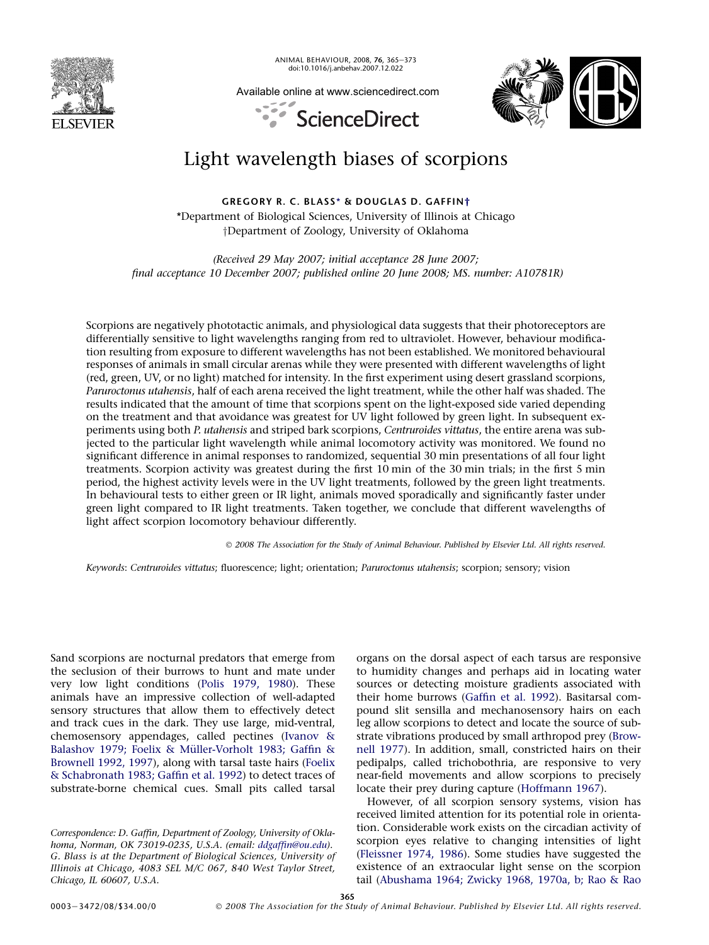

ANIMAL BEHAVIOUR, 2008, 76, 365-373 doi:10.1016/j.anbehav.2007.12.022

Available online at www.sciencedirect.com



# ScienceDirect

# Light wavelength biases of scorpions

GREGORY R. C. BLASS\* & DOUGLAS D. GAFFIN† \*Department of Biological Sciences, University of Illinois at Chicago yDepartment of Zoology, University of Oklahoma

(Received 29 May 2007; initial acceptance 28 June 2007; final acceptance 10 December 2007; published online 20 June 2008; MS. number: A10781R)

Scorpions are negatively phototactic animals, and physiological data suggests that their photoreceptors are differentially sensitive to light wavelengths ranging from red to ultraviolet. However, behaviour modification resulting from exposure to different wavelengths has not been established. We monitored behavioural responses of animals in small circular arenas while they were presented with different wavelengths of light (red, green, UV, or no light) matched for intensity. In the first experiment using desert grassland scorpions, Paruroctonus utahensis, half of each arena received the light treatment, while the other half was shaded. The results indicated that the amount of time that scorpions spent on the light-exposed side varied depending on the treatment and that avoidance was greatest for UV light followed by green light. In subsequent experiments using both P. utahensis and striped bark scorpions, Centruroides vittatus, the entire arena was subjected to the particular light wavelength while animal locomotory activity was monitored. We found no significant difference in animal responses to randomized, sequential 30 min presentations of all four light treatments. Scorpion activity was greatest during the first 10 min of the 30 min trials; in the first 5 min period, the highest activity levels were in the UV light treatments, followed by the green light treatments. In behavioural tests to either green or IR light, animals moved sporadically and significantly faster under green light compared to IR light treatments. Taken together, we conclude that different wavelengths of light affect scorpion locomotory behaviour differently.

- 2008 The Association for the Study of Animal Behaviour. Published by Elsevier Ltd. All rights reserved.

Keywords: Centruroides vittatus; fluorescence; light; orientation; Paruroctonus utahensis; scorpion; sensory; vision

Sand scorpions are nocturnal predators that emerge from the seclusion of their burrows to hunt and mate under very low light conditions ([Polis 1979, 1980\)](#page-8-0). These animals have an impressive collection of well-adapted sensory structures that allow them to effectively detect and track cues in the dark. They use large, mid-ventral, chemosensory appendages, called pectines [\(Ivanov &](#page-8-0) Balashov 1979; Foelix & Müller-Vorholt 1983; Gaffin & [Brownell 1992, 1997\)](#page-8-0), along with tarsal taste hairs ([Foelix](#page-8-0) [& Schabronath 1983; Gaffin et al. 1992\)](#page-8-0) to detect traces of substrate-borne chemical cues. Small pits called tarsal

Correspondence: D. Gaffin, Department of Zoology, University of Oklahoma, Norman, OK 73019-0235, U.S.A. (email: [ddgaffin@ou.edu\)](mailto:ddgaffin@ou.edu). G. Blass is at the Department of Biological Sciences, University of Illinois at Chicago, 4083 SEL M/C 067, 840 West Taylor Street, Chicago, IL 60607, U.S.A.

organs on the dorsal aspect of each tarsus are responsive to humidity changes and perhaps aid in locating water sources or detecting moisture gradients associated with their home burrows ([Gaffin et al. 1992](#page-8-0)). Basitarsal compound slit sensilla and mechanosensory hairs on each leg allow scorpions to detect and locate the source of substrate vibrations produced by small arthropod prey ([Brow](#page-8-0)[nell 1977\)](#page-8-0). In addition, small, constricted hairs on their pedipalps, called trichobothria, are responsive to very near-field movements and allow scorpions to precisely locate their prey during capture ([Hoffmann 1967](#page-8-0)).

However, of all scorpion sensory systems, vision has received limited attention for its potential role in orientation. Considerable work exists on the circadian activity of scorpion eyes relative to changing intensities of light ([Fleissner 1974, 1986](#page-8-0)). Some studies have suggested the existence of an extraocular light sense on the scorpion tail [\(Abushama 1964; Zwicky 1968, 1970a, b; Rao & Rao](#page-8-0)

365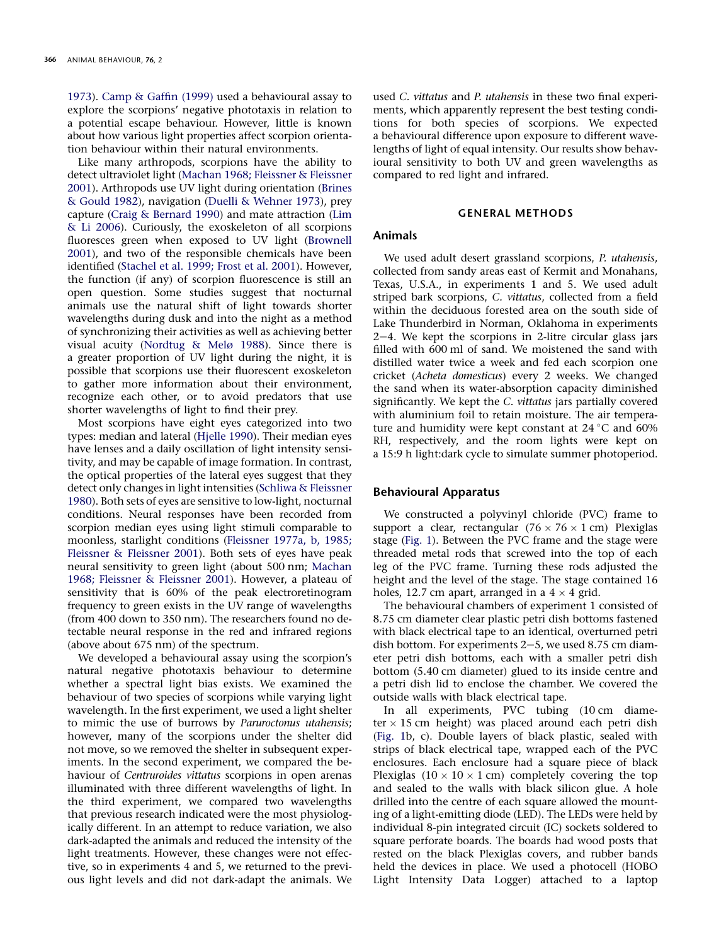[1973](#page-8-0)). [Camp & Gaffin \(1999\)](#page-8-0) used a behavioural assay to explore the scorpions' negative phototaxis in relation to a potential escape behaviour. However, little is known about how various light properties affect scorpion orientation behaviour within their natural environments.

Like many arthropods, scorpions have the ability to detect ultraviolet light ([Machan 1968; Fleissner & Fleissner](#page-8-0) [2001](#page-8-0)). Arthropods use UV light during orientation [\(Brines](#page-8-0) [& Gould 1982](#page-8-0)), navigation ([Duelli & Wehner 1973](#page-8-0)), prey capture [\(Craig & Bernard 1990\)](#page-8-0) and mate attraction [\(Lim](#page-8-0) [& Li 2006](#page-8-0)). Curiously, the exoskeleton of all scorpions fluoresces green when exposed to UV light ([Brownell](#page-8-0) [2001](#page-8-0)), and two of the responsible chemicals have been identified ([Stachel et al. 1999; Frost et al. 2001\)](#page-8-0). However, the function (if any) of scorpion fluorescence is still an open question. Some studies suggest that nocturnal animals use the natural shift of light towards shorter wavelengths during dusk and into the night as a method of synchronizing their activities as well as achieving better visual acuity ([Nordtug & Melø 1988](#page-8-0)). Since there is a greater proportion of UV light during the night, it is possible that scorpions use their fluorescent exoskeleton to gather more information about their environment, recognize each other, or to avoid predators that use shorter wavelengths of light to find their prey.

Most scorpions have eight eyes categorized into two types: median and lateral ([Hjelle 1990\)](#page-8-0). Their median eyes have lenses and a daily oscillation of light intensity sensitivity, and may be capable of image formation. In contrast, the optical properties of the lateral eyes suggest that they detect only changes in light intensities ([Schliwa & Fleissner](#page-8-0) [1980](#page-8-0)). Both sets of eyes are sensitive to low-light, nocturnal conditions. Neural responses have been recorded from scorpion median eyes using light stimuli comparable to moonless, starlight conditions ([Fleissner 1977a, b, 1985;](#page-8-0) [Fleissner & Fleissner 2001\)](#page-8-0). Both sets of eyes have peak neural sensitivity to green light (about 500 nm; [Machan](#page-8-0) [1968; Fleissner & Fleissner 2001](#page-8-0)). However, a plateau of sensitivity that is 60% of the peak electroretinogram frequency to green exists in the UV range of wavelengths (from 400 down to 350 nm). The researchers found no detectable neural response in the red and infrared regions (above about 675 nm) of the spectrum.

We developed a behavioural assay using the scorpion's natural negative phototaxis behaviour to determine whether a spectral light bias exists. We examined the behaviour of two species of scorpions while varying light wavelength. In the first experiment, we used a light shelter to mimic the use of burrows by Paruroctonus utahensis; however, many of the scorpions under the shelter did not move, so we removed the shelter in subsequent experiments. In the second experiment, we compared the behaviour of Centruroides vittatus scorpions in open arenas illuminated with three different wavelengths of light. In the third experiment, we compared two wavelengths that previous research indicated were the most physiologically different. In an attempt to reduce variation, we also dark-adapted the animals and reduced the intensity of the light treatments. However, these changes were not effective, so in experiments 4 and 5, we returned to the previous light levels and did not dark-adapt the animals. We

used C. vittatus and P. utahensis in these two final experiments, which apparently represent the best testing conditions for both species of scorpions. We expected a behavioural difference upon exposure to different wavelengths of light of equal intensity. Our results show behavioural sensitivity to both UV and green wavelengths as compared to red light and infrared.

# GENERAL METHODS

# Animals

We used adult desert grassland scorpions, P. utahensis, collected from sandy areas east of Kermit and Monahans, Texas, U.S.A., in experiments 1 and 5. We used adult striped bark scorpions, C. vittatus, collected from a field within the deciduous forested area on the south side of Lake Thunderbird in Norman, Oklahoma in experiments  $2-4$ . We kept the scorpions in 2-litre circular glass jars filled with 600 ml of sand. We moistened the sand with distilled water twice a week and fed each scorpion one cricket (Acheta domesticus) every 2 weeks. We changed the sand when its water-absorption capacity diminished significantly. We kept the C. vittatus jars partially covered with aluminium foil to retain moisture. The air temperature and humidity were kept constant at  $24^{\circ}$ C and 60% RH, respectively, and the room lights were kept on a 15:9 h light:dark cycle to simulate summer photoperiod.

#### Behavioural Apparatus

We constructed a polyvinyl chloride (PVC) frame to support a clear, rectangular  $(76 \times 76 \times 1$  cm) Plexiglas stage [\(Fig. 1](#page-2-0)). Between the PVC frame and the stage were threaded metal rods that screwed into the top of each leg of the PVC frame. Turning these rods adjusted the height and the level of the stage. The stage contained 16 holes, 12.7 cm apart, arranged in a  $4 \times 4$  grid.

The behavioural chambers of experiment 1 consisted of 8.75 cm diameter clear plastic petri dish bottoms fastened with black electrical tape to an identical, overturned petri dish bottom. For experiments  $2-5$ , we used 8.75 cm diameter petri dish bottoms, each with a smaller petri dish bottom (5.40 cm diameter) glued to its inside centre and a petri dish lid to enclose the chamber. We covered the outside walls with black electrical tape.

In all experiments, PVC tubing (10 cm diameter  $\times$  15 cm height) was placed around each petri dish ([Fig. 1](#page-2-0)b, c). Double layers of black plastic, sealed with strips of black electrical tape, wrapped each of the PVC enclosures. Each enclosure had a square piece of black Plexiglas  $(10 \times 10 \times 1 \text{ cm})$  completely covering the top and sealed to the walls with black silicon glue. A hole drilled into the centre of each square allowed the mounting of a light-emitting diode (LED). The LEDs were held by individual 8-pin integrated circuit (IC) sockets soldered to square perforate boards. The boards had wood posts that rested on the black Plexiglas covers, and rubber bands held the devices in place. We used a photocell (HOBO Light Intensity Data Logger) attached to a laptop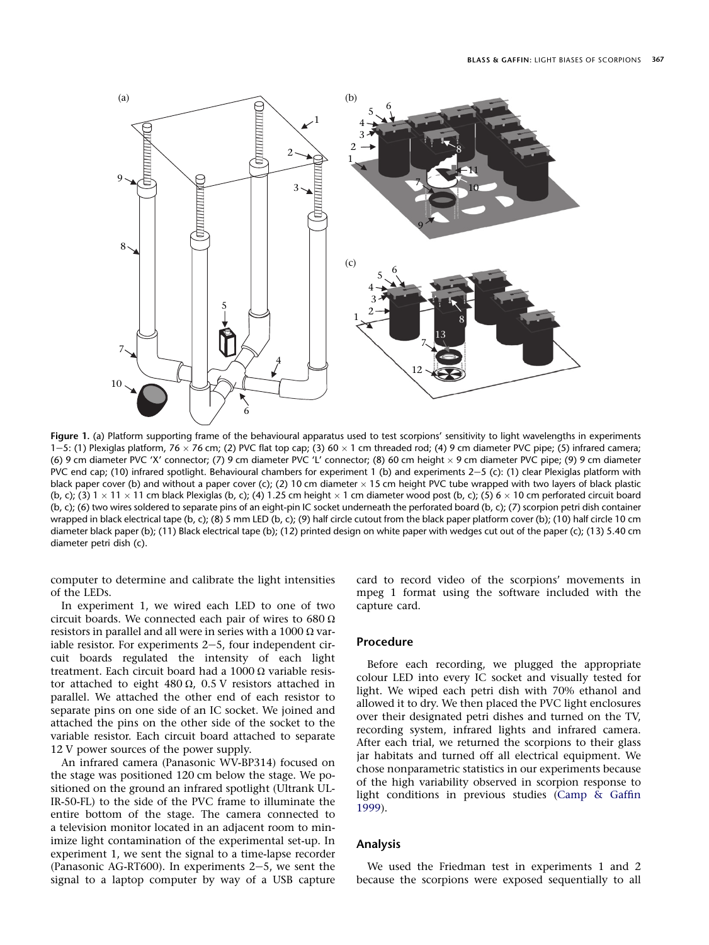<span id="page-2-0"></span>

Figure 1. (a) Platform supporting frame of the behavioural apparatus used to test scorpions' sensitivity to light wavelengths in experiments 1-5: (1) Plexiglas platform, 76  $\times$  76 cm; (2) PVC flat top cap; (3) 60  $\times$  1 cm threaded rod; (4) 9 cm diameter PVC pipe; (5) infrared camera; (6) 9 cm diameter PVC 'X' connector; (7) 9 cm diameter PVC 'L' connector; (8) 60 cm height  $\times$  9 cm diameter PVC pipe; (9) 9 cm diameter PVC end cap; (10) infrared spotlight. Behavioural chambers for experiment 1 (b) and experiments  $2-5$  (c): (1) clear Plexiglas platform with black paper cover (b) and without a paper cover (c); (2) 10 cm diameter  $\times$  15 cm height PVC tube wrapped with two layers of black plastic (b, c); (3)  $1 \times 11 \times 11$  cm black Plexiglas (b, c); (4) 1.25 cm height  $\times$  1 cm diameter wood post (b, c); (5)  $6 \times 10$  cm perforated circuit board (b, c); (6) two wires soldered to separate pins of an eight-pin IC socket underneath the perforated board (b, c); (7) scorpion petri dish container wrapped in black electrical tape (b, c); (8) 5 mm LED (b, c); (9) half circle cutout from the black paper platform cover (b); (10) half circle 10 cm diameter black paper (b); (11) Black electrical tape (b); (12) printed design on white paper with wedges cut out of the paper (c); (13) 5.40 cm diameter petri dish (c).

computer to determine and calibrate the light intensities of the LEDs.

In experiment 1, we wired each LED to one of two circuit boards. We connected each pair of wires to  $680 \Omega$ resistors in parallel and all were in series with a  $1000 \Omega$  variable resistor. For experiments  $2-5$ , four independent circuit boards regulated the intensity of each light treatment. Each circuit board had a 1000  $\Omega$  variable resistor attached to eight 480  $\Omega$ , 0.5 V resistors attached in parallel. We attached the other end of each resistor to separate pins on one side of an IC socket. We joined and attached the pins on the other side of the socket to the variable resistor. Each circuit board attached to separate 12 V power sources of the power supply.

An infrared camera (Panasonic WV-BP314) focused on the stage was positioned 120 cm below the stage. We positioned on the ground an infrared spotlight (Ultrank UL-IR-50-FL) to the side of the PVC frame to illuminate the entire bottom of the stage. The camera connected to a television monitor located in an adjacent room to minimize light contamination of the experimental set-up. In experiment 1, we sent the signal to a time-lapse recorder (Panasonic AG-RT600). In experiments  $2-5$ , we sent the signal to a laptop computer by way of a USB capture

card to record video of the scorpions' movements in mpeg 1 format using the software included with the capture card.

# Procedure

Before each recording, we plugged the appropriate colour LED into every IC socket and visually tested for light. We wiped each petri dish with 70% ethanol and allowed it to dry. We then placed the PVC light enclosures over their designated petri dishes and turned on the TV, recording system, infrared lights and infrared camera. After each trial, we returned the scorpions to their glass jar habitats and turned off all electrical equipment. We chose nonparametric statistics in our experiments because of the high variability observed in scorpion response to light conditions in previous studies [\(Camp & Gaffin](#page-8-0) [1999](#page-8-0)).

# Analysis

We used the Friedman test in experiments 1 and 2 because the scorpions were exposed sequentially to all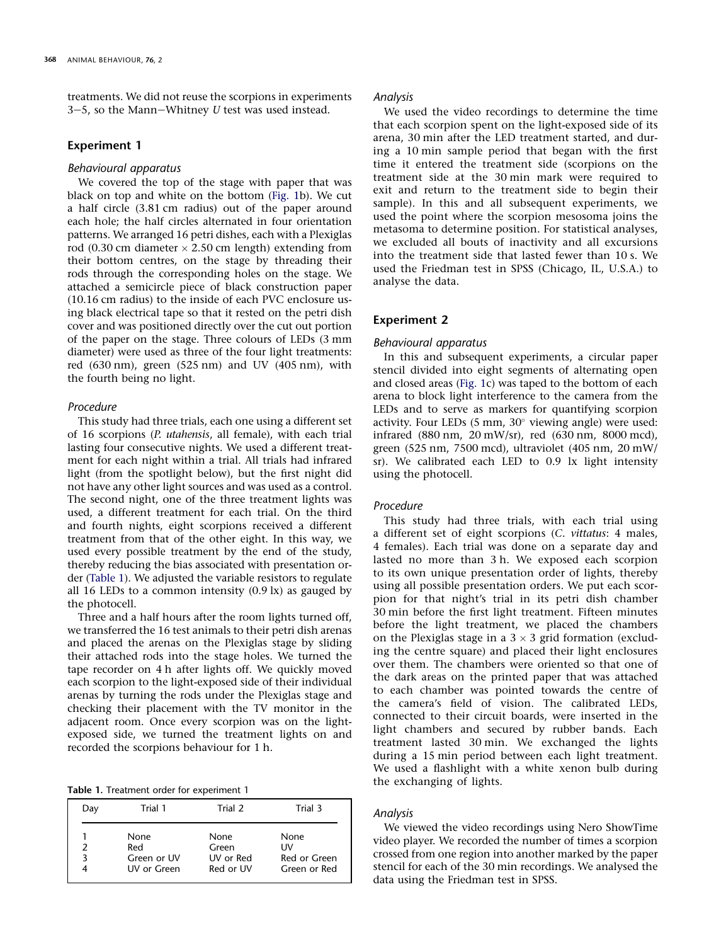treatments. We did not reuse the scorpions in experiments 3–5, so the Mann–Whitney  $U$  test was used instead.

# Experiment 1

#### Behavioural apparatus

We covered the top of the stage with paper that was black on top and white on the bottom ([Fig. 1b](#page-2-0)). We cut a half circle (3.81 cm radius) out of the paper around each hole; the half circles alternated in four orientation patterns. We arranged 16 petri dishes, each with a Plexiglas rod (0.30 cm diameter  $\times$  2.50 cm length) extending from their bottom centres, on the stage by threading their rods through the corresponding holes on the stage. We attached a semicircle piece of black construction paper (10.16 cm radius) to the inside of each PVC enclosure using black electrical tape so that it rested on the petri dish cover and was positioned directly over the cut out portion of the paper on the stage. Three colours of LEDs (3 mm diameter) were used as three of the four light treatments: red (630 nm), green (525 nm) and UV (405 nm), with the fourth being no light.

# Procedure

This study had three trials, each one using a different set of 16 scorpions (P. utahensis, all female), with each trial lasting four consecutive nights. We used a different treatment for each night within a trial. All trials had infrared light (from the spotlight below), but the first night did not have any other light sources and was used as a control. The second night, one of the three treatment lights was used, a different treatment for each trial. On the third and fourth nights, eight scorpions received a different treatment from that of the other eight. In this way, we used every possible treatment by the end of the study, thereby reducing the bias associated with presentation order (Table 1). We adjusted the variable resistors to regulate all 16 LEDs to a common intensity  $(0.9 \text{ lx})$  as gauged by the photocell.

Three and a half hours after the room lights turned off, we transferred the 16 test animals to their petri dish arenas and placed the arenas on the Plexiglas stage by sliding their attached rods into the stage holes. We turned the tape recorder on 4 h after lights off. We quickly moved each scorpion to the light-exposed side of their individual arenas by turning the rods under the Plexiglas stage and checking their placement with the TV monitor in the adjacent room. Once every scorpion was on the lightexposed side, we turned the treatment lights on and recorded the scorpions behaviour for 1 h.

Table 1. Treatment order for experiment 1

| Day | Trial 1     | Trial 2   | Trial 3      |
|-----|-------------|-----------|--------------|
| κ   | None        | None      | None         |
|     | Red         | Green     | ۱W           |
|     | Green or UV | UV or Red | Red or Green |
|     | UV or Green | Red or UV | Green or Red |

#### Analysis

We used the video recordings to determine the time that each scorpion spent on the light-exposed side of its arena, 30 min after the LED treatment started, and during a 10 min sample period that began with the first time it entered the treatment side (scorpions on the treatment side at the 30 min mark were required to exit and return to the treatment side to begin their sample). In this and all subsequent experiments, we used the point where the scorpion mesosoma joins the metasoma to determine position. For statistical analyses, we excluded all bouts of inactivity and all excursions into the treatment side that lasted fewer than 10 s. We used the Friedman test in SPSS (Chicago, IL, U.S.A.) to analyse the data.

# Experiment 2

#### Behavioural apparatus

In this and subsequent experiments, a circular paper stencil divided into eight segments of alternating open and closed areas [\(Fig. 1c](#page-2-0)) was taped to the bottom of each arena to block light interference to the camera from the LEDs and to serve as markers for quantifying scorpion activity. Four LEDs (5 mm, 30° viewing angle) were used: infrared (880 nm, 20 mW/sr), red (630 nm, 8000 mcd), green (525 nm, 7500 mcd), ultraviolet (405 nm, 20 mW/ sr). We calibrated each LED to 0.9 lx light intensity using the photocell.

#### Procedure

This study had three trials, with each trial using a different set of eight scorpions (C. vittatus: 4 males, 4 females). Each trial was done on a separate day and lasted no more than 3 h. We exposed each scorpion to its own unique presentation order of lights, thereby using all possible presentation orders. We put each scorpion for that night's trial in its petri dish chamber 30 min before the first light treatment. Fifteen minutes before the light treatment, we placed the chambers on the Plexiglas stage in a  $3 \times 3$  grid formation (excluding the centre square) and placed their light enclosures over them. The chambers were oriented so that one of the dark areas on the printed paper that was attached to each chamber was pointed towards the centre of the camera's field of vision. The calibrated LEDs, connected to their circuit boards, were inserted in the light chambers and secured by rubber bands. Each treatment lasted 30 min. We exchanged the lights during a 15 min period between each light treatment. We used a flashlight with a white xenon bulb during the exchanging of lights.

# Analysis

We viewed the video recordings using Nero ShowTime video player. We recorded the number of times a scorpion crossed from one region into another marked by the paper stencil for each of the 30 min recordings. We analysed the data using the Friedman test in SPSS.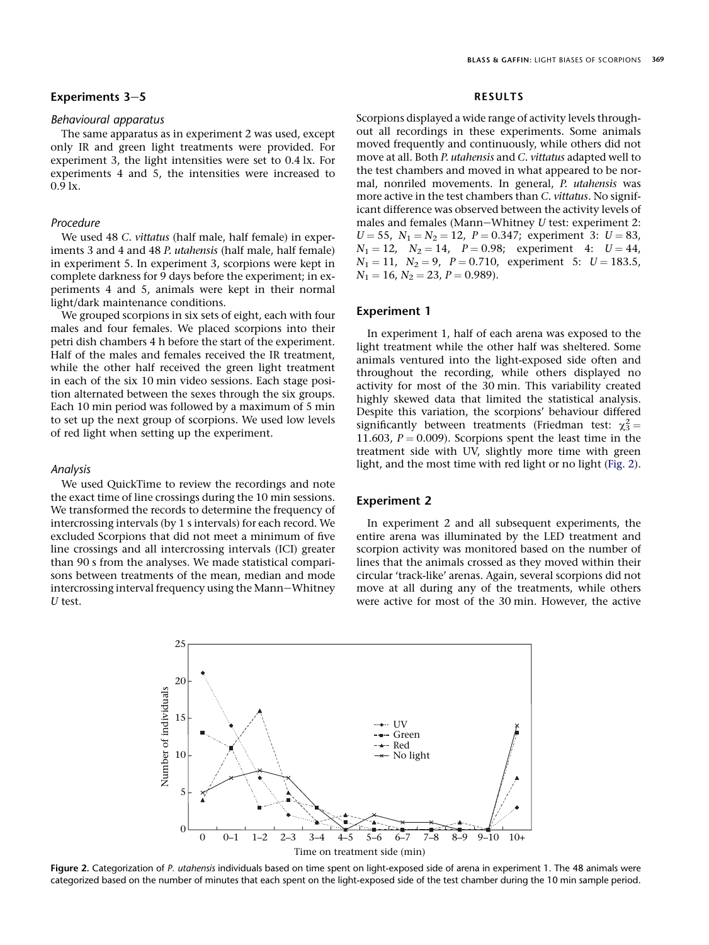# Experiments  $3-5$

# Behavioural apparatus

The same apparatus as in experiment 2 was used, except only IR and green light treatments were provided. For experiment 3, the light intensities were set to 0.4 lx. For experiments 4 and 5, the intensities were increased to 0.9 lx.

# Procedure

We used 48 C. vittatus (half male, half female) in experiments 3 and 4 and 48 P. utahensis (half male, half female) in experiment 5. In experiment 3, scorpions were kept in complete darkness for 9 days before the experiment; in experiments 4 and 5, animals were kept in their normal light/dark maintenance conditions.

We grouped scorpions in six sets of eight, each with four males and four females. We placed scorpions into their petri dish chambers 4 h before the start of the experiment. Half of the males and females received the IR treatment, while the other half received the green light treatment in each of the six 10 min video sessions. Each stage position alternated between the sexes through the six groups. Each 10 min period was followed by a maximum of 5 min to set up the next group of scorpions. We used low levels of red light when setting up the experiment.

## Analysis

We used QuickTime to review the recordings and note the exact time of line crossings during the 10 min sessions. We transformed the records to determine the frequency of intercrossing intervals (by 1 s intervals) for each record. We excluded Scorpions that did not meet a minimum of five line crossings and all intercrossing intervals (ICI) greater than 90 s from the analyses. We made statistical comparisons between treatments of the mean, median and mode intercrossing interval frequency using the Mann-Whitney U test.

## RESULTS

Scorpions displayed a wide range of activity levels throughout all recordings in these experiments. Some animals moved frequently and continuously, while others did not move at all. Both P. utahensis and C. vittatus adapted well to the test chambers and moved in what appeared to be normal, nonriled movements. In general, P. utahensis was more active in the test chambers than C. vittatus. No significant difference was observed between the activity levels of males and females (Mann-Whitney  $U$  test: experiment 2:  $U = 55$ ,  $N_1 = N_2 = 12$ ,  $P = 0.347$ ; experiment 3:  $U = 83$ ,  $N_1 = 12$ ,  $N_2 = 14$ ,  $P = 0.98$ ; experiment 4:  $U = 44$ ,  $N_1 = 11$ ,  $N_2 = 9$ ,  $P = 0.710$ , experiment 5:  $U = 183.5$ ,  $N_1 = 16$ ,  $N_2 = 23$ ,  $P = 0.989$ ).

# Experiment 1

In experiment 1, half of each arena was exposed to the light treatment while the other half was sheltered. Some animals ventured into the light-exposed side often and throughout the recording, while others displayed no activity for most of the 30 min. This variability created highly skewed data that limited the statistical analysis. Despite this variation, the scorpions' behaviour differed significantly between treatments (Friedman test:  $\chi_3^2$  = 11.603,  $P = 0.009$ ). Scorpions spent the least time in the treatment side with UV, slightly more time with green light, and the most time with red light or no light (Fig. 2).

# Experiment 2

In experiment 2 and all subsequent experiments, the entire arena was illuminated by the LED treatment and scorpion activity was monitored based on the number of lines that the animals crossed as they moved within their circular 'track-like' arenas. Again, several scorpions did not move at all during any of the treatments, while others were active for most of the 30 min. However, the active



Figure 2. Categorization of P. utahensis individuals based on time spent on light-exposed side of arena in experiment 1. The 48 animals were categorized based on the number of minutes that each spent on the light-exposed side of the test chamber during the 10 min sample period.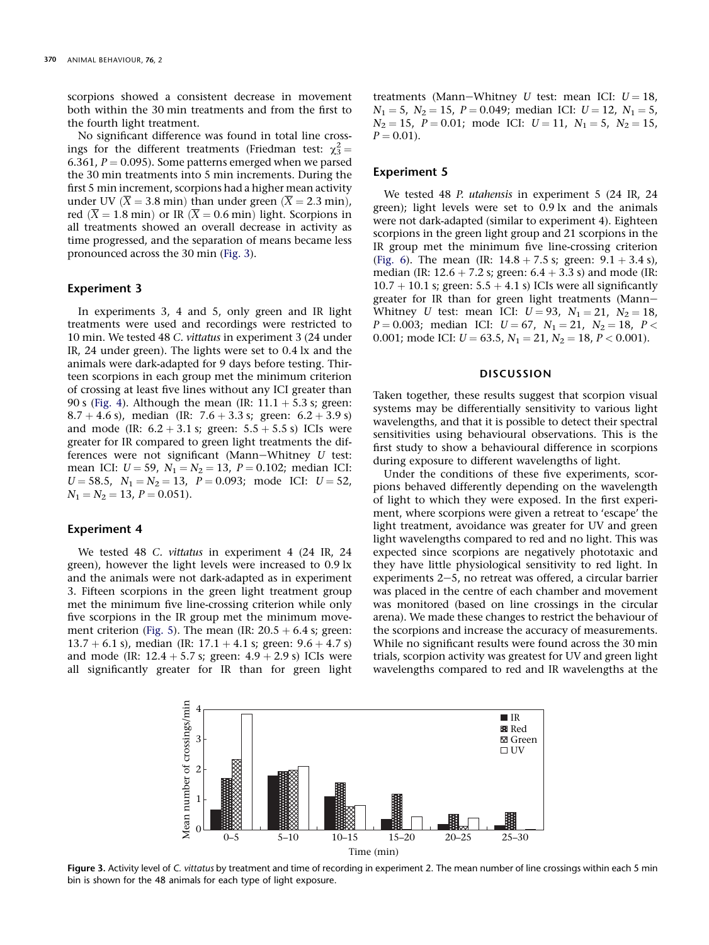scorpions showed a consistent decrease in movement both within the 30 min treatments and from the first to the fourth light treatment.

No significant difference was found in total line crossings for the different treatments (Friedman test:  $\chi_3^2$  = 6.361,  $P = 0.095$ ). Some patterns emerged when we parsed the 30 min treatments into 5 min increments. During the first 5 min increment, scorpions had a higher mean activity under UV ( $\overline{X}$  = 3.8 min) than under green ( $\overline{X}$  = 2.3 min), red  $(\overline{X} = 1.8 \text{ min})$  or IR  $(\overline{X} = 0.6 \text{ min})$  light. Scorpions in all treatments showed an overall decrease in activity as time progressed, and the separation of means became less pronounced across the 30 min (Fig. 3).

# Experiment 3

In experiments 3, 4 and 5, only green and IR light treatments were used and recordings were restricted to 10 min. We tested 48 C. vittatus in experiment 3 (24 under IR, 24 under green). The lights were set to 0.4 lx and the animals were dark-adapted for 9 days before testing. Thirteen scorpions in each group met the minimum criterion of crossing at least five lines without any ICI greater than 90 s [\(Fig. 4\)](#page-6-0). Although the mean (IR:  $11.1 + 5.3$  s; green: 8.7 + 4.6 s), median (IR: 7.6 + 3.3 s; green:  $6.2 + 3.9$  s) and mode (IR:  $6.2 + 3.1$  s; green:  $5.5 + 5.5$  s) ICIs were greater for IR compared to green light treatments the differences were not significant (Mann-Whitney  $U$  test: mean ICI:  $U = 59$ ,  $N_1 = N_2 = 13$ ,  $P = 0.102$ ; median ICI:  $U = 58.5$ ,  $N_1 = N_2 = 13$ ,  $P = 0.093$ ; mode ICI:  $U = 52$ ,  $N_1 = N_2 = 13, P = 0.051$ .

# Experiment 4

We tested 48 C. vittatus in experiment 4 (24 IR, 24 green), however the light levels were increased to 0.9 lx and the animals were not dark-adapted as in experiment 3. Fifteen scorpions in the green light treatment group met the minimum five line-crossing criterion while only five scorpions in the IR group met the minimum move-ment criterion ([Fig. 5\)](#page-6-0). The mean (IR:  $20.5 + 6.4$  s; green:  $13.7 + 6.1$  s), median (IR:  $17.1 + 4.1$  s; green:  $9.6 + 4.7$  s) and mode (IR:  $12.4 + 5.7$  s; green:  $4.9 + 2.9$  s) ICIs were all significantly greater for IR than for green light treatments (Mann-Whitney U test: mean ICI:  $U = 18$ ,  $N_1 = 5$ ,  $N_2 = 15$ ,  $P = 0.049$ ; median ICI:  $U = 12$ ,  $N_1 = 5$ ,  $N_2 = 15$ ,  $P = 0.01$ ; mode ICI:  $U = 11$ ,  $N_1 = 5$ ,  $N_2 = 15$ ,  $P = 0.01$ .

# Experiment 5

We tested 48 P. utahensis in experiment 5 (24 IR, 24 green); light levels were set to 0.9 lx and the animals were not dark-adapted (similar to experiment 4). Eighteen scorpions in the green light group and 21 scorpions in the IR group met the minimum five line-crossing criterion ([Fig. 6](#page-7-0)). The mean (IR:  $14.8 + 7.5$  s; green:  $9.1 + 3.4$  s), median (IR:  $12.6 + 7.2$  s; green:  $6.4 + 3.3$  s) and mode (IR:  $10.7 + 10.1$  s; green:  $5.5 + 4.1$  s) ICIs were all significantly greater for IR than for green light treatments (Mann-Whitney U test: mean ICI:  $U = 93$ ,  $N_1 = 21$ ,  $N_2 = 18$ ,  $P = 0.003$ ; median ICI:  $U = 67$ ,  $N_1 = 21$ ,  $N_2 = 18$ ,  $P <$ 0.001; mode ICI:  $U = 63.5$ ,  $N_1 = 21$ ,  $N_2 = 18$ ,  $P < 0.001$ ).

# DISCUSSION

Taken together, these results suggest that scorpion visual systems may be differentially sensitivity to various light wavelengths, and that it is possible to detect their spectral sensitivities using behavioural observations. This is the first study to show a behavioural difference in scorpions during exposure to different wavelengths of light.

Under the conditions of these five experiments, scorpions behaved differently depending on the wavelength of light to which they were exposed. In the first experiment, where scorpions were given a retreat to 'escape' the light treatment, avoidance was greater for UV and green light wavelengths compared to red and no light. This was expected since scorpions are negatively phototaxic and they have little physiological sensitivity to red light. In experiments  $2-5$ , no retreat was offered, a circular barrier was placed in the centre of each chamber and movement was monitored (based on line crossings in the circular arena). We made these changes to restrict the behaviour of the scorpions and increase the accuracy of measurements. While no significant results were found across the 30 min trials, scorpion activity was greatest for UV and green light wavelengths compared to red and IR wavelengths at the



Figure 3. Activity level of C. vittatus by treatment and time of recording in experiment 2. The mean number of line crossings within each 5 min bin is shown for the 48 animals for each type of light exposure.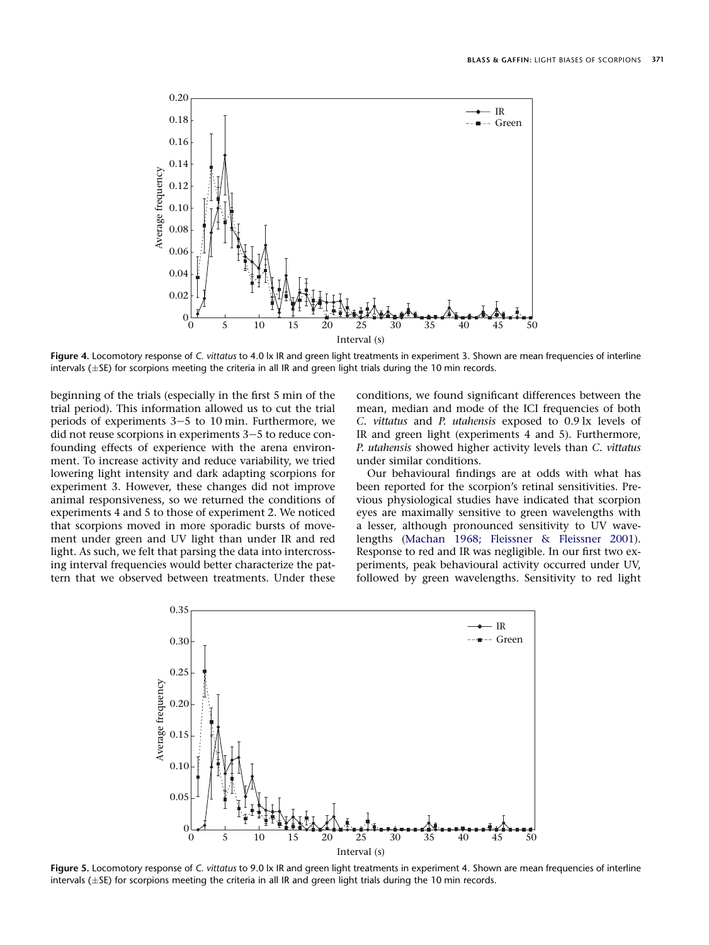<span id="page-6-0"></span>

Figure 4. Locomotory response of C. vittatus to 4.0 lx IR and green light treatments in experiment 3. Shown are mean frequencies of interline intervals ( $\pm$ SE) for scorpions meeting the criteria in all IR and green light trials during the 10 min records.

beginning of the trials (especially in the first 5 min of the trial period). This information allowed us to cut the trial periods of experiments  $3-5$  to 10 min. Furthermore, we did not reuse scorpions in experiments  $3-5$  to reduce confounding effects of experience with the arena environment. To increase activity and reduce variability, we tried lowering light intensity and dark adapting scorpions for experiment 3. However, these changes did not improve animal responsiveness, so we returned the conditions of experiments 4 and 5 to those of experiment 2. We noticed that scorpions moved in more sporadic bursts of movement under green and UV light than under IR and red light. As such, we felt that parsing the data into intercrossing interval frequencies would better characterize the pattern that we observed between treatments. Under these

conditions, we found significant differences between the mean, median and mode of the ICI frequencies of both C. vittatus and P. utahensis exposed to 0.9 lx levels of IR and green light (experiments 4 and 5). Furthermore, P. utahensis showed higher activity levels than C. vittatus under similar conditions.

Our behavioural findings are at odds with what has been reported for the scorpion's retinal sensitivities. Previous physiological studies have indicated that scorpion eyes are maximally sensitive to green wavelengths with a lesser, although pronounced sensitivity to UV wavelengths ([Machan 1968; Fleissner & Fleissner 2001](#page-8-0)). Response to red and IR was negligible. In our first two experiments, peak behavioural activity occurred under UV, followed by green wavelengths. Sensitivity to red light



Figure 5. Locomotory response of C. vittatus to 9.0 lx IR and green light treatments in experiment 4. Shown are mean frequencies of interline intervals ( $\pm$ SE) for scorpions meeting the criteria in all IR and green light trials during the 10 min records.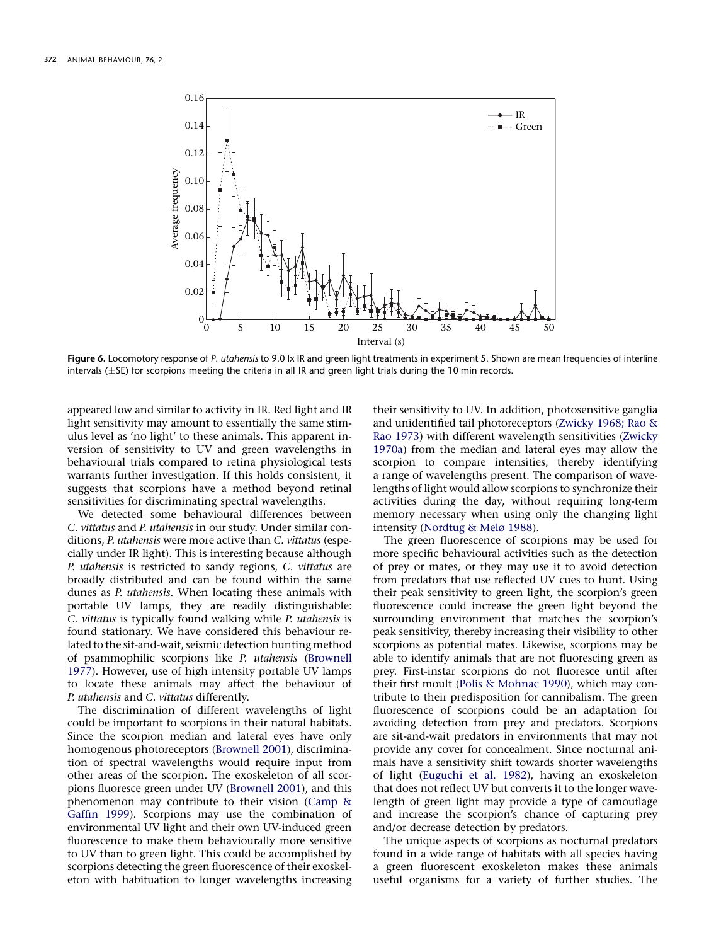<span id="page-7-0"></span>

Figure 6. Locomotory response of P. utahensis to 9.0 lx IR and green light treatments in experiment 5. Shown are mean frequencies of interline intervals ( $\pm$ SE) for scorpions meeting the criteria in all IR and green light trials during the 10 min records.

appeared low and similar to activity in IR. Red light and IR light sensitivity may amount to essentially the same stimulus level as 'no light' to these animals. This apparent inversion of sensitivity to UV and green wavelengths in behavioural trials compared to retina physiological tests warrants further investigation. If this holds consistent, it suggests that scorpions have a method beyond retinal sensitivities for discriminating spectral wavelengths.

We detected some behavioural differences between C. vittatus and P. utahensis in our study. Under similar conditions, P. utahensis were more active than C. vittatus (especially under IR light). This is interesting because although P. utahensis is restricted to sandy regions, C. vittatus are broadly distributed and can be found within the same dunes as P. utahensis. When locating these animals with portable UV lamps, they are readily distinguishable: C. vittatus is typically found walking while P. utahensis is found stationary. We have considered this behaviour related to the sit-and-wait, seismic detection hunting method of psammophilic scorpions like P. utahensis ([Brownell](#page-8-0) [1977](#page-8-0)). However, use of high intensity portable UV lamps to locate these animals may affect the behaviour of P. utahensis and C. vittatus differently.

The discrimination of different wavelengths of light could be important to scorpions in their natural habitats. Since the scorpion median and lateral eyes have only homogenous photoreceptors [\(Brownell 2001](#page-8-0)), discrimination of spectral wavelengths would require input from other areas of the scorpion. The exoskeleton of all scorpions fluoresce green under UV [\(Brownell 2001](#page-8-0)), and this phenomenon may contribute to their vision ([Camp &](#page-8-0) [Gaffin 1999\)](#page-8-0). Scorpions may use the combination of environmental UV light and their own UV-induced green fluorescence to make them behaviourally more sensitive to UV than to green light. This could be accomplished by scorpions detecting the green fluorescence of their exoskeleton with habituation to longer wavelengths increasing their sensitivity to UV. In addition, photosensitive ganglia and unidentified tail photoreceptors ([Zwicky 1968; Rao &](#page-8-0) [Rao 1973](#page-8-0)) with different wavelength sensitivities ([Zwicky](#page-8-0) [1970a\)](#page-8-0) from the median and lateral eyes may allow the scorpion to compare intensities, thereby identifying a range of wavelengths present. The comparison of wavelengths of light would allow scorpions to synchronize their activities during the day, without requiring long-term memory necessary when using only the changing light intensity [\(Nordtug & Melø 1988](#page-8-0)).

The green fluorescence of scorpions may be used for more specific behavioural activities such as the detection of prey or mates, or they may use it to avoid detection from predators that use reflected UV cues to hunt. Using their peak sensitivity to green light, the scorpion's green fluorescence could increase the green light beyond the surrounding environment that matches the scorpion's peak sensitivity, thereby increasing their visibility to other scorpions as potential mates. Likewise, scorpions may be able to identify animals that are not fluorescing green as prey. First-instar scorpions do not fluoresce until after their first moult ([Polis & Mohnac 1990](#page-8-0)), which may contribute to their predisposition for cannibalism. The green fluorescence of scorpions could be an adaptation for avoiding detection from prey and predators. Scorpions are sit-and-wait predators in environments that may not provide any cover for concealment. Since nocturnal animals have a sensitivity shift towards shorter wavelengths of light [\(Euguchi et al. 1982\)](#page-8-0), having an exoskeleton that does not reflect UV but converts it to the longer wavelength of green light may provide a type of camouflage and increase the scorpion's chance of capturing prey and/or decrease detection by predators.

The unique aspects of scorpions as nocturnal predators found in a wide range of habitats with all species having a green fluorescent exoskeleton makes these animals useful organisms for a variety of further studies. The